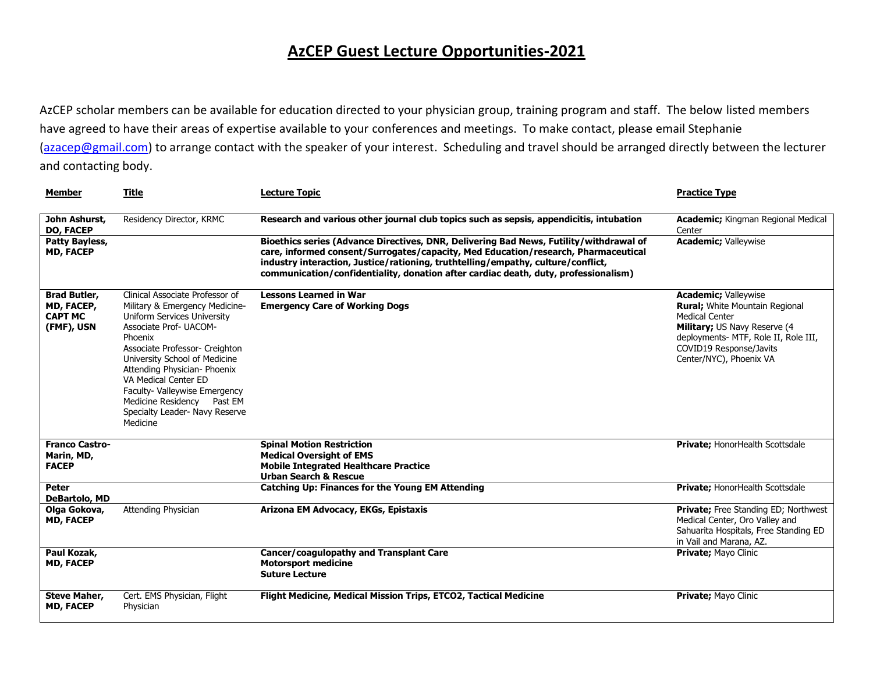## **AzCEP Guest Lecture Opportunities-2021**

AzCEP scholar members can be available for education directed to your physician group, training program and staff. The below listed members have agreed to have their areas of expertise available to your conferences and meetings. To make contact, please email Stephanie [\(azacep@gmail.com\)](mailto:azacep@gmail.com) to arrange contact with the speaker of your interest. Scheduling and travel should be arranged directly between the lecturer and contacting body.

| <b>Member</b>                                                     | <b>Title</b>                                                                                                                                                                                                                                                                                                                                                                  | <b>Lecture Topic</b>                                                                                                                                                                                                                                                                                                                                    | <b>Practice Type</b>                                                                                                                                                                                                 |
|-------------------------------------------------------------------|-------------------------------------------------------------------------------------------------------------------------------------------------------------------------------------------------------------------------------------------------------------------------------------------------------------------------------------------------------------------------------|---------------------------------------------------------------------------------------------------------------------------------------------------------------------------------------------------------------------------------------------------------------------------------------------------------------------------------------------------------|----------------------------------------------------------------------------------------------------------------------------------------------------------------------------------------------------------------------|
| John Ashurst,<br><b>DO, FACEP</b>                                 | Residency Director, KRMC                                                                                                                                                                                                                                                                                                                                                      | Research and various other journal club topics such as sepsis, appendicitis, intubation                                                                                                                                                                                                                                                                 | <b>Academic; Kingman Regional Medical</b><br>Center                                                                                                                                                                  |
| Patty Bayless,<br><b>MD, FACEP</b>                                |                                                                                                                                                                                                                                                                                                                                                                               | Bioethics series (Advance Directives, DNR, Delivering Bad News, Futility/withdrawal of<br>care, informed consent/Surrogates/capacity, Med Education/research, Pharmaceutical<br>industry interaction, Justice/rationing, truthtelling/empathy, culture/conflict,<br>communication/confidentiality, donation after cardiac death, duty, professionalism) | <b>Academic; Valleywise</b>                                                                                                                                                                                          |
| <b>Brad Butler,</b><br>MD, FACEP,<br><b>CAPT MC</b><br>(FMF), USN | Clinical Associate Professor of<br>Military & Emergency Medicine-<br>Uniform Services University<br>Associate Prof- UACOM-<br>Phoenix<br>Associate Professor- Creighton<br>University School of Medicine<br>Attending Physician- Phoenix<br>VA Medical Center ED<br>Faculty- Valleywise Emergency<br>Medicine Residency Past EM<br>Specialty Leader- Navy Reserve<br>Medicine | <b>Lessons Learned in War</b><br><b>Emergency Care of Working Dogs</b>                                                                                                                                                                                                                                                                                  | <b>Academic; Valleywise</b><br>Rural; White Mountain Regional<br><b>Medical Center</b><br>Military; US Navy Reserve (4<br>deployments- MTF, Role II, Role III,<br>COVID19 Response/Javits<br>Center/NYC), Phoenix VA |
| <b>Franco Castro-</b><br>Marin, MD,<br><b>FACEP</b>               |                                                                                                                                                                                                                                                                                                                                                                               | <b>Spinal Motion Restriction</b><br><b>Medical Oversight of EMS</b><br><b>Mobile Integrated Healthcare Practice</b><br><b>Urban Search &amp; Rescue</b>                                                                                                                                                                                                 | Private; HonorHealth Scottsdale                                                                                                                                                                                      |
| Peter<br><b>DeBartolo, MD</b>                                     |                                                                                                                                                                                                                                                                                                                                                                               | <b>Catching Up: Finances for the Young EM Attending</b>                                                                                                                                                                                                                                                                                                 | Private; HonorHealth Scottsdale                                                                                                                                                                                      |
| Olga Gokova,<br><b>MD, FACEP</b>                                  | Attending Physician                                                                                                                                                                                                                                                                                                                                                           | Arizona EM Advocacy, EKGs, Epistaxis                                                                                                                                                                                                                                                                                                                    | Private; Free Standing ED; Northwest<br>Medical Center, Oro Valley and<br>Sahuarita Hospitals, Free Standing ED<br>in Vail and Marana, AZ.                                                                           |
| Paul Kozak,<br><b>MD, FACEP</b>                                   |                                                                                                                                                                                                                                                                                                                                                                               | Cancer/coagulopathy and Transplant Care<br><b>Motorsport medicine</b><br><b>Suture Lecture</b>                                                                                                                                                                                                                                                          | Private; Mayo Clinic                                                                                                                                                                                                 |
| <b>Steve Maher,</b><br><b>MD, FACEP</b>                           | Cert. EMS Physician, Flight<br>Physician                                                                                                                                                                                                                                                                                                                                      | Flight Medicine, Medical Mission Trips, ETCO2, Tactical Medicine                                                                                                                                                                                                                                                                                        | Private; Mayo Clinic                                                                                                                                                                                                 |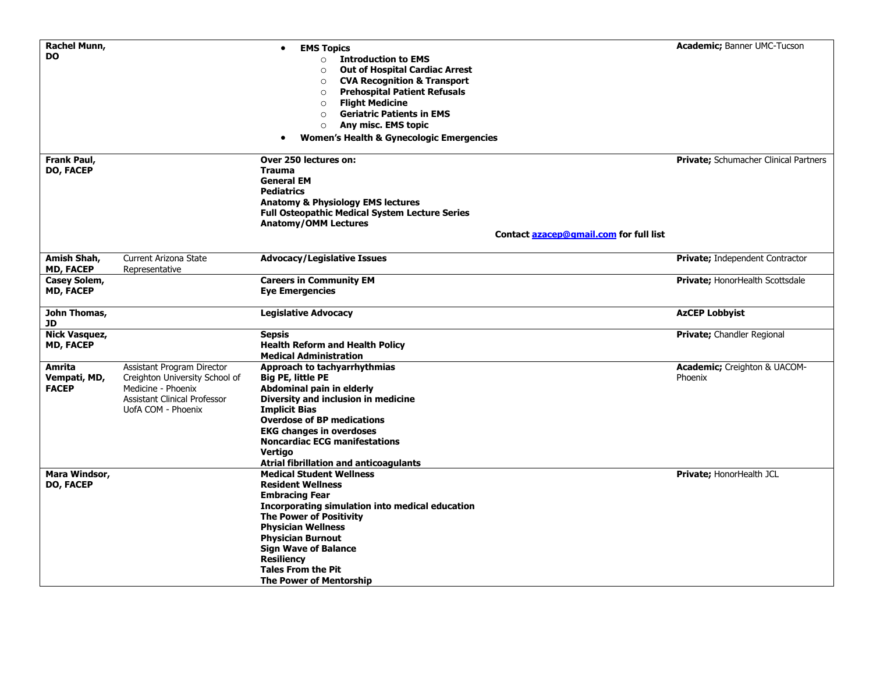| <b>Rachel Munn,</b><br><b>DO</b>         |                                                                                                                                          | <b>EMS Topics</b><br>$\bullet$<br><b>Introduction to EMS</b><br>$\circ$<br><b>Out of Hospital Cardiac Arrest</b><br>$\circ$                                                                                                                                                                                                                    | <b>Academic; Banner UMC-Tucson</b>              |
|------------------------------------------|------------------------------------------------------------------------------------------------------------------------------------------|------------------------------------------------------------------------------------------------------------------------------------------------------------------------------------------------------------------------------------------------------------------------------------------------------------------------------------------------|-------------------------------------------------|
|                                          |                                                                                                                                          | <b>CVA Recognition &amp; Transport</b><br>$\circ$<br><b>Prehospital Patient Refusals</b><br>$\circ$<br><b>Flight Medicine</b><br>$\circ$<br><b>Geriatric Patients in EMS</b><br>$\circ$<br>Any misc. EMS topic<br>$\circ$<br><b>Women's Health &amp; Gynecologic Emergencies</b><br>$\bullet$                                                  |                                                 |
| <b>Frank Paul,</b><br><b>DO, FACEP</b>   |                                                                                                                                          | Over 250 lectures on:<br><b>Trauma</b><br><b>General EM</b><br><b>Pediatrics</b><br><b>Anatomy &amp; Physiology EMS lectures</b><br><b>Full Osteopathic Medical System Lecture Series</b><br><b>Anatomy/OMM Lectures</b>                                                                                                                       | <b>Private;</b> Schumacher Clinical Partners    |
|                                          |                                                                                                                                          | Contact azacep@gmail.com for full list                                                                                                                                                                                                                                                                                                         |                                                 |
| Amish Shah,<br><b>MD, FACEP</b>          | Current Arizona State<br>Representative                                                                                                  | <b>Advocacy/Legislative Issues</b>                                                                                                                                                                                                                                                                                                             | <b>Private; Independent Contractor</b>          |
| Casey Solem,<br><b>MD, FACEP</b>         |                                                                                                                                          | <b>Careers in Community EM</b><br><b>Eye Emergencies</b>                                                                                                                                                                                                                                                                                       | Private; HonorHealth Scottsdale                 |
| John Thomas,<br>JD                       |                                                                                                                                          | <b>Legislative Advocacy</b>                                                                                                                                                                                                                                                                                                                    | <b>AzCEP Lobbyist</b>                           |
| <b>Nick Vasquez,</b><br><b>MD, FACEP</b> |                                                                                                                                          | <b>Sepsis</b><br><b>Health Reform and Health Policy</b><br><b>Medical Administration</b>                                                                                                                                                                                                                                                       | <b>Private;</b> Chandler Regional               |
| Amrita<br>Vempati, MD,<br><b>FACEP</b>   | Assistant Program Director<br>Creighton University School of<br>Medicine - Phoenix<br>Assistant Clinical Professor<br>UofA COM - Phoenix | Approach to tachyarrhythmias<br><b>Big PE, little PE</b><br>Abdominal pain in elderly<br>Diversity and inclusion in medicine<br><b>Implicit Bias</b><br><b>Overdose of BP medications</b><br><b>EKG changes in overdoses</b><br><b>Noncardiac ECG manifestations</b><br>Vertigo<br><b>Atrial fibrillation and anticoagulants</b>               | <b>Academic</b> ; Creighton & UACOM-<br>Phoenix |
| Mara Windsor,<br><b>DO, FACEP</b>        |                                                                                                                                          | <b>Medical Student Wellness</b><br><b>Resident Wellness</b><br><b>Embracing Fear</b><br>Incorporating simulation into medical education<br><b>The Power of Positivity</b><br><b>Physician Wellness</b><br><b>Physician Burnout</b><br>Sign Wave of Balance<br><b>Resiliency</b><br><b>Tales From the Pit</b><br><b>The Power of Mentorship</b> | Private; HonorHealth JCL                        |